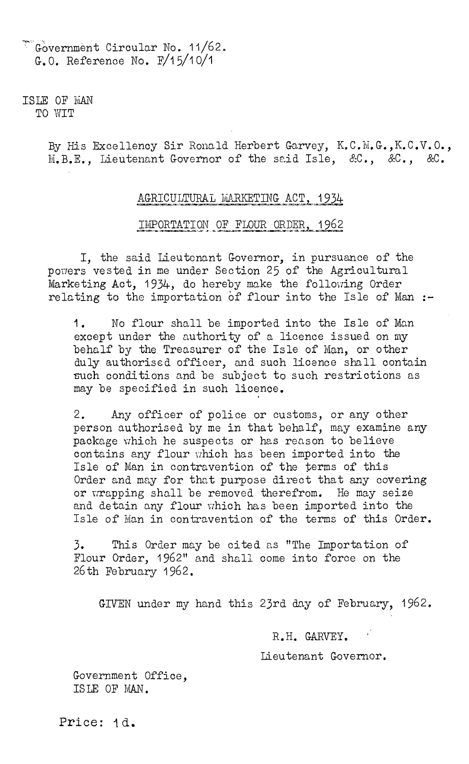Covernment Circular No. 11/62. G.O. Reference No. F/15/1O/1

ISLE OF MAN TO WIT

> By His Excellency Sir Ronald Herbert Garvey, K.C.M.G., K.C.V.O., M.B.E., Lieutenant Governor of the said Isle, &C., &C., &C.

## AGRICULTURAL MARKETING ACT, 1934

## IMPORTATION OF FLOUR ORDER, 1962

I, the said Lieutenant Governor, in pursuance of the powers vested in me under Section 25 of the Agricultural Marketing Act, 1934, do hereby make the following Order relating to the importation of flour into the Isle of Man  $:-$ 

1. No flour shall be imported into the Isle of Man except under the authority of a licence issued on my behalf by the Treasurer of the Isle of Man, or other duly authorised officer, and such licence shall contain -such conditions and be subject to such restrictions as may be specified in such licence.

2. Any officer of police or customs, or any other person authorised by me in that behalf, may examine any package which he suspects or has reason to believe contains any flour which has been imported into the Isle of Man in contravention of the terms of this Order and may for that purpose direct that any covering or wrapping shall be removed therefrom. He may seize and detain any flour which has been imported into the Isle of Man in contravention of the terms of this Order.

3. This Order may be cited as "The Importation of Flour Order, 1962" and shall come into force on the 26th February 1962.

GIVEN under my hand this 23rd day of February, 1962.

R.H. GARVEY.

Lieutenant Governor.

Government Office, ISLE OF MAN.

Price: 1d.